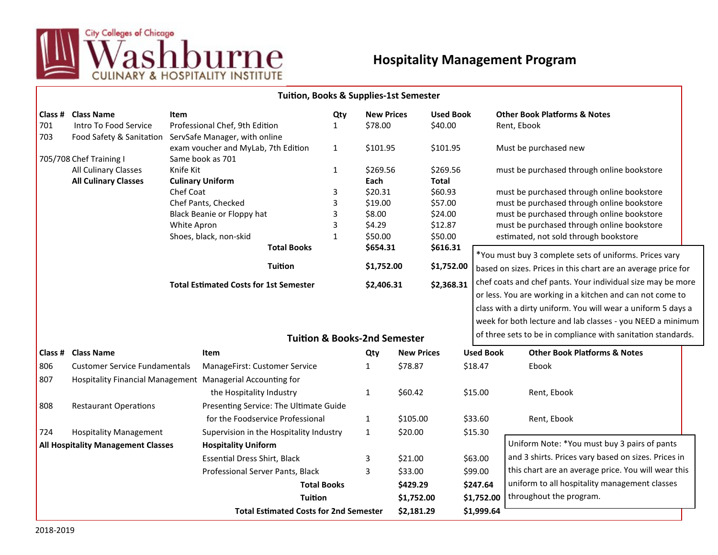

## **Hospitality Management Program**

|                                           |                                                        |                                               | <b>Tuition, Books &amp; Supplies-1st Semester</b>                                             |                   |                                         |                   |                  |                                                             |                                                                                          |                                                              |  |  |
|-------------------------------------------|--------------------------------------------------------|-----------------------------------------------|-----------------------------------------------------------------------------------------------|-------------------|-----------------------------------------|-------------------|------------------|-------------------------------------------------------------|------------------------------------------------------------------------------------------|--------------------------------------------------------------|--|--|
| Class #                                   | <b>Class Name</b>                                      | <b>Item</b>                                   |                                                                                               | Qty               | <b>New Prices</b>                       |                   | <b>Used Book</b> |                                                             |                                                                                          | <b>Other Book Platforms &amp; Notes</b>                      |  |  |
| 701                                       | Intro To Food Service                                  |                                               | Professional Chef, 9th Edition                                                                | 1                 | \$78.00                                 |                   | \$40.00          |                                                             | Rent, Ebook                                                                              |                                                              |  |  |
| 703                                       | Food Safety & Sanitation ServSafe Manager, with online |                                               |                                                                                               |                   |                                         |                   |                  |                                                             |                                                                                          |                                                              |  |  |
|                                           |                                                        |                                               | exam voucher and MyLab, 7th Edition                                                           | $\mathbf{1}$      | \$101.95                                |                   | \$101.95         |                                                             |                                                                                          | Must be purchased new                                        |  |  |
|                                           | 705/708 Chef Training I                                |                                               | Same book as 701                                                                              |                   |                                         |                   | \$269.56         |                                                             |                                                                                          |                                                              |  |  |
|                                           | All Culinary Classes                                   | Knife Kit                                     |                                                                                               | $\mathbf{1}$      |                                         | \$269.56          |                  |                                                             | must be purchased through online bookstore                                               |                                                              |  |  |
|                                           | <b>All Culinary Classes</b>                            |                                               | <b>Culinary Uniform</b>                                                                       |                   | Each                                    |                   | <b>Total</b>     |                                                             |                                                                                          |                                                              |  |  |
|                                           |                                                        | Chef Coat                                     |                                                                                               | 3<br>3            | \$20.31<br>\$19.00                      |                   | \$60.93          |                                                             | must be purchased through online bookstore<br>must be purchased through online bookstore |                                                              |  |  |
|                                           |                                                        |                                               | Chef Pants, Checked<br>3<br>Black Beanie or Floppy hat<br>White Apron                         |                   |                                         |                   | \$57.00          |                                                             |                                                                                          |                                                              |  |  |
|                                           |                                                        |                                               |                                                                                               |                   | \$8.00                                  |                   | \$24.00          |                                                             | must be purchased through online bookstore<br>must be purchased through online bookstore |                                                              |  |  |
|                                           |                                                        |                                               |                                                                                               | 3<br>$\mathbf{1}$ | \$4.29<br>\$50.00                       |                   | \$12.87          |                                                             |                                                                                          |                                                              |  |  |
|                                           |                                                        |                                               | Shoes, black, non-skid                                                                        |                   |                                         |                   | \$50.00          | estimated, not sold through bookstore                       |                                                                                          |                                                              |  |  |
|                                           |                                                        | <b>Total Books</b>                            |                                                                                               |                   | \$654.31                                |                   | \$616.31         |                                                             | *You must buy 3 complete sets of uniforms. Prices vary                                   |                                                              |  |  |
|                                           |                                                        |                                               | <b>Tuition</b>                                                                                |                   | \$1,752.00                              |                   | \$1,752.00       |                                                             | based on sizes. Prices in this chart are an average price for                            |                                                              |  |  |
|                                           |                                                        | <b>Total Estimated Costs for 1st Semester</b> |                                                                                               |                   | \$2,406.31                              |                   | \$2,368.31       | chef coats and chef pants. Your individual size may be more |                                                                                          |                                                              |  |  |
|                                           |                                                        |                                               |                                                                                               |                   |                                         |                   |                  | or less. You are working in a kitchen and can not come to   |                                                                                          |                                                              |  |  |
|                                           |                                                        |                                               |                                                                                               |                   |                                         |                   |                  |                                                             |                                                                                          | class with a dirty uniform. You will wear a uniform 5 days a |  |  |
|                                           |                                                        |                                               |                                                                                               |                   |                                         |                   |                  |                                                             |                                                                                          | week for both lecture and lab classes - you NEED a minimum   |  |  |
|                                           |                                                        |                                               |                                                                                               |                   |                                         |                   |                  |                                                             |                                                                                          |                                                              |  |  |
|                                           |                                                        |                                               |                                                                                               |                   | <b>Tuition &amp; Books-2nd Semester</b> |                   |                  |                                                             |                                                                                          | of three sets to be in compliance with sanitation standards. |  |  |
| Class #                                   | <b>Class Name</b>                                      |                                               | <b>Item</b>                                                                                   |                   | Qty                                     | <b>New Prices</b> |                  | <b>Used Book</b>                                            |                                                                                          | <b>Other Book Platforms &amp; Notes</b>                      |  |  |
| 806                                       | <b>Customer Service Fundamentals</b>                   |                                               | ManageFirst: Customer Service                                                                 |                   | $\mathbf{1}$                            | \$78.87           |                  | \$18.47                                                     |                                                                                          | Ebook                                                        |  |  |
| 807                                       |                                                        |                                               | Hospitality Financial Management Managerial Accounting for                                    |                   |                                         |                   |                  |                                                             |                                                                                          |                                                              |  |  |
|                                           |                                                        |                                               | the Hospitality Industry                                                                      |                   | $\mathbf{1}$                            | \$60.42           |                  | \$15.00                                                     |                                                                                          | Rent, Ebook                                                  |  |  |
| 808                                       | <b>Restaurant Operations</b>                           |                                               | Presenting Service: The Ultimate Guide                                                        |                   |                                         |                   |                  |                                                             |                                                                                          |                                                              |  |  |
|                                           |                                                        |                                               | for the Foodservice Professional                                                              |                   | $\mathbf{1}$                            | \$105.00          |                  | \$33.60                                                     |                                                                                          | Rent, Ebook                                                  |  |  |
| 724                                       | <b>Hospitality Management</b>                          |                                               | Supervision in the Hospitality Industry                                                       |                   | $\mathbf{1}$                            | \$20.00           |                  | \$15.30                                                     |                                                                                          |                                                              |  |  |
| <b>All Hospitality Management Classes</b> |                                                        |                                               | <b>Hospitality Uniform</b>                                                                    |                   |                                         |                   |                  |                                                             |                                                                                          | Uniform Note: *You must buy 3 pairs of pants                 |  |  |
|                                           |                                                        |                                               | <b>Essential Dress Shirt, Black</b><br>Professional Server Pants, Black<br><b>Total Books</b> |                   | 3<br>\$21.00                            |                   |                  | \$63.00                                                     | and 3 shirts. Prices vary based on sizes. Prices in                                      |                                                              |  |  |
|                                           |                                                        |                                               |                                                                                               |                   | $\overline{3}$                          | \$33.00           |                  | \$99.00                                                     |                                                                                          | this chart are an average price. You will wear this          |  |  |
|                                           |                                                        |                                               |                                                                                               |                   |                                         | \$429.29          |                  | \$247.64                                                    | uniform to all hospitality management classes<br>throughout the program.                 |                                                              |  |  |
|                                           |                                                        |                                               | <b>Tuition</b><br><b>Total Estimated Costs for 2nd Semester</b>                               |                   |                                         | \$1,752.00        |                  | \$1,752.00                                                  |                                                                                          |                                                              |  |  |
|                                           |                                                        |                                               |                                                                                               |                   |                                         |                   |                  |                                                             |                                                                                          |                                                              |  |  |